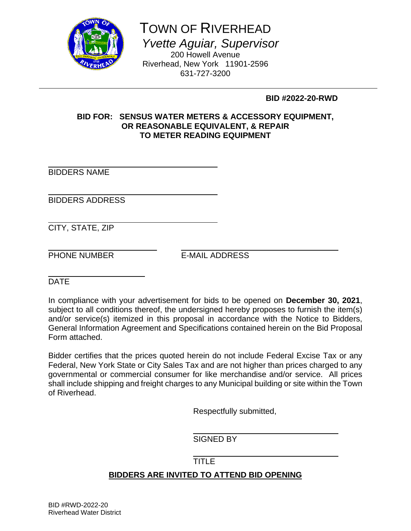

# TOWN OF RIVERHEAD

 *Yvette Aguiar, Supervisor* 

200 Howell Avenue Riverhead, New York 11901-2596 631-727-3200

 **BID #2022-20-RWD** 

# **BID FOR: SENSUS WATER METERS & ACCESSORY EQUIPMENT, OR REASONABLE EQUIVALENT, & REPAIR TO METER READING EQUIPMENT**

l BIDDERS NAME

l BIDDERS ADDRESS

l CITY, STATE, ZIP

l

PHONE NUMBER E-MAIL ADDRESS

l **DATE** 

In compliance with your advertisement for bids to be opened on **December 30, 2021**, subject to all conditions thereof, the undersigned hereby proposes to furnish the item(s) and/or service(s) itemized in this proposal in accordance with the Notice to Bidders, General Information Agreement and Specifications contained herein on the Bid Proposal Form attached.

Bidder certifies that the prices quoted herein do not include Federal Excise Tax or any Federal, New York State or City Sales Tax and are not higher than prices charged to any governmental or commercial consumer for like merchandise and/or service. All prices shall include shipping and freight charges to any Municipal building or site within the Town of Riverhead.

Respectfully submitted,

SIGNED BY

# TITLE

# **BIDDERS ARE INVITED TO ATTEND BID OPENING**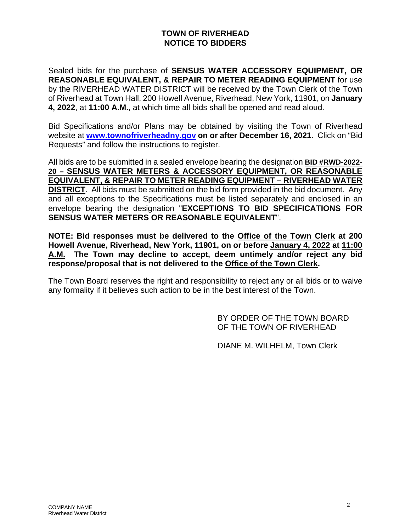# **TOWN OF RIVERHEAD NOTICE TO BIDDERS**

Sealed bids for the purchase of **SENSUS WATER ACCESSORY EQUIPMENT, OR REASONABLE EQUIVALENT, & REPAIR TO METER READING EQUIPMENT** for use by the RIVERHEAD WATER DISTRICT will be received by the Town Clerk of the Town of Riverhead at Town Hall, 200 Howell Avenue, Riverhead, New York, 11901, on **January 4, 2022**, at **11:00 A.M.**, at which time all bids shall be opened and read aloud.

Bid Specifications and/or Plans may be obtained by visiting the Town of Riverhead website at **www.townofriverheadny.gov on or after December 16, 2021**. Click on "Bid Requests" and follow the instructions to register.

All bids are to be submitted in a sealed envelope bearing the designation **BID #RWD-2022- 20 – SENSUS WATER METERS & ACCESSORY EQUIPMENT, OR REASONABLE EQUIVALENT, & REPAIR TO METER READING EQUIPMENT – RIVERHEAD WATER DISTRICT**. All bids must be submitted on the bid form provided in the bid document. Any and all exceptions to the Specifications must be listed separately and enclosed in an envelope bearing the designation "**EXCEPTIONS TO BID SPECIFICATIONS FOR SENSUS WATER METERS OR REASONABLE EQUIVALENT**".

**NOTE: Bid responses must be delivered to the Office of the Town Clerk at 200 Howell Avenue, Riverhead, New York, 11901, on or before January 4, 2022 at 11:00 A.M. The Town may decline to accept, deem untimely and/or reject any bid response/proposal that is not delivered to the Office of the Town Clerk.**

The Town Board reserves the right and responsibility to reject any or all bids or to waive any formality if it believes such action to be in the best interest of the Town.

> BY ORDER OF THE TOWN BOARD OF THE TOWN OF RIVERHEAD

DIANE M. WILHELM, Town Clerk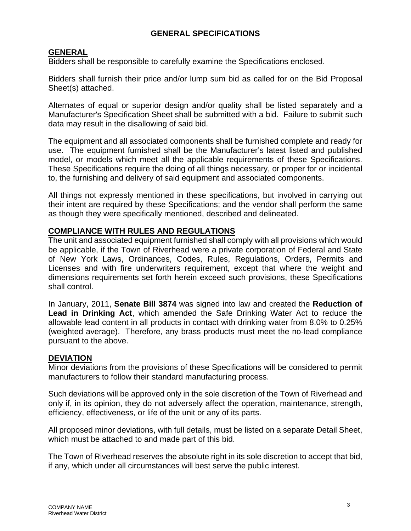# **GENERAL SPECIFICATIONS**

# **GENERAL**

Bidders shall be responsible to carefully examine the Specifications enclosed.

Bidders shall furnish their price and/or lump sum bid as called for on the Bid Proposal Sheet(s) attached.

Alternates of equal or superior design and/or quality shall be listed separately and a Manufacturer's Specification Sheet shall be submitted with a bid. Failure to submit such data may result in the disallowing of said bid.

The equipment and all associated components shall be furnished complete and ready for use. The equipment furnished shall be the Manufacturer's latest listed and published model, or models which meet all the applicable requirements of these Specifications. These Specifications require the doing of all things necessary, or proper for or incidental to, the furnishing and delivery of said equipment and associated components.

All things not expressly mentioned in these specifications, but involved in carrying out their intent are required by these Specifications; and the vendor shall perform the same as though they were specifically mentioned, described and delineated.

# **COMPLIANCE WITH RULES AND REGULATIONS**

The unit and associated equipment furnished shall comply with all provisions which would be applicable, if the Town of Riverhead were a private corporation of Federal and State of New York Laws, Ordinances, Codes, Rules, Regulations, Orders, Permits and Licenses and with fire underwriters requirement, except that where the weight and dimensions requirements set forth herein exceed such provisions, these Specifications shall control.

In January, 2011, **Senate Bill 3874** was signed into law and created the **Reduction of Lead in Drinking Act**, which amended the Safe Drinking Water Act to reduce the allowable lead content in all products in contact with drinking water from 8.0% to 0.25% (weighted average). Therefore, any brass products must meet the no-lead compliance pursuant to the above.

#### **DEVIATION**

Minor deviations from the provisions of these Specifications will be considered to permit manufacturers to follow their standard manufacturing process.

Such deviations will be approved only in the sole discretion of the Town of Riverhead and only if, in its opinion, they do not adversely affect the operation, maintenance, strength, efficiency, effectiveness, or life of the unit or any of its parts.

All proposed minor deviations, with full details, must be listed on a separate Detail Sheet, which must be attached to and made part of this bid.

The Town of Riverhead reserves the absolute right in its sole discretion to accept that bid, if any, which under all circumstances will best serve the public interest.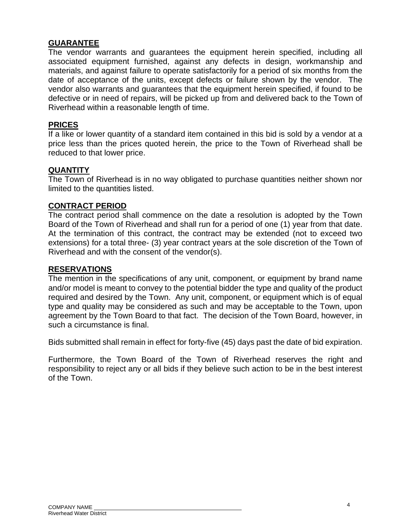#### **GUARANTEE**

The vendor warrants and guarantees the equipment herein specified, including all associated equipment furnished, against any defects in design, workmanship and materials, and against failure to operate satisfactorily for a period of six months from the date of acceptance of the units, except defects or failure shown by the vendor. The vendor also warrants and guarantees that the equipment herein specified, if found to be defective or in need of repairs, will be picked up from and delivered back to the Town of Riverhead within a reasonable length of time.

#### **PRICES**

If a like or lower quantity of a standard item contained in this bid is sold by a vendor at a price less than the prices quoted herein, the price to the Town of Riverhead shall be reduced to that lower price.

#### **QUANTITY**

The Town of Riverhead is in no way obligated to purchase quantities neither shown nor limited to the quantities listed.

# **CONTRACT PERIOD**

The contract period shall commence on the date a resolution is adopted by the Town Board of the Town of Riverhead and shall run for a period of one (1) year from that date. At the termination of this contract, the contract may be extended (not to exceed two extensions) for a total three- (3) year contract years at the sole discretion of the Town of Riverhead and with the consent of the vendor(s).

#### **RESERVATIONS**

The mention in the specifications of any unit, component, or equipment by brand name and/or model is meant to convey to the potential bidder the type and quality of the product required and desired by the Town. Any unit, component, or equipment which is of equal type and quality may be considered as such and may be acceptable to the Town, upon agreement by the Town Board to that fact. The decision of the Town Board, however, in such a circumstance is final.

Bids submitted shall remain in effect for forty-five (45) days past the date of bid expiration.

Furthermore, the Town Board of the Town of Riverhead reserves the right and responsibility to reject any or all bids if they believe such action to be in the best interest of the Town.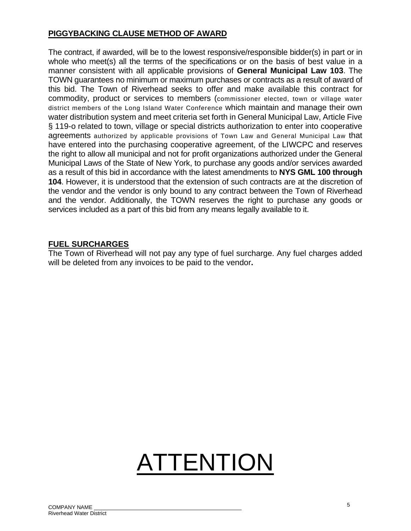# **PIGGYBACKING CLAUSE METHOD OF AWARD**

The contract, if awarded, will be to the lowest responsive/responsible bidder(s) in part or in whole who meet(s) all the terms of the specifications or on the basis of best value in a manner consistent with all applicable provisions of **General Municipal Law 103**. The TOWN guarantees no minimum or maximum purchases or contracts as a result of award of this bid. The Town of Riverhead seeks to offer and make available this contract for commodity, product or services to members (commissioner elected, town or village water district members of the Long Island Water Conference which maintain and manage their own water distribution system and meet criteria set forth in General Municipal Law, Article Five § 119-o related to town, village or special districts authorization to enter into cooperative agreements authorized by applicable provisions of Town Law and General Municipal Law that have entered into the purchasing cooperative agreement, of the LIWCPC and reserves the right to allow all municipal and not for profit organizations authorized under the General Municipal Laws of the State of New York, to purchase any goods and/or services awarded as a result of this bid in accordance with the latest amendments to **NYS GML 100 through 104**. However, it is understood that the extension of such contracts are at the discretion of the vendor and the vendor is only bound to any contract between the Town of Riverhead and the vendor. Additionally, the TOWN reserves the right to purchase any goods or services included as a part of this bid from any means legally available to it.

#### **FUEL SURCHARGES**

The Town of Riverhead will not pay any type of fuel surcharge. Any fuel charges added will be deleted from any invoices to be paid to the vendor**.** 

# ATTENTION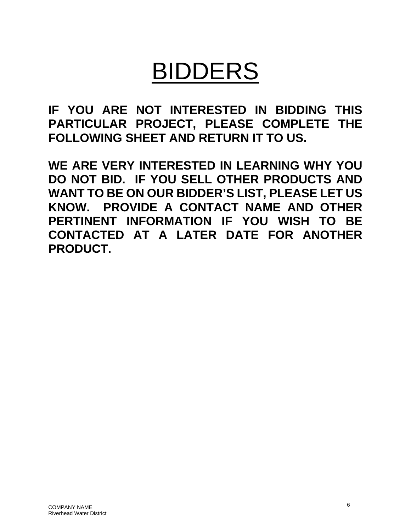# BIDDERS

**IF YOU ARE NOT INTERESTED IN BIDDING THIS PARTICULAR PROJECT, PLEASE COMPLETE THE FOLLOWING SHEET AND RETURN IT TO US.** 

**WE ARE VERY INTERESTED IN LEARNING WHY YOU DO NOT BID. IF YOU SELL OTHER PRODUCTS AND WANT TO BE ON OUR BIDDER'S LIST, PLEASE LET US KNOW. PROVIDE A CONTACT NAME AND OTHER PERTINENT INFORMATION IF YOU WISH TO BE CONTACTED AT A LATER DATE FOR ANOTHER PRODUCT.**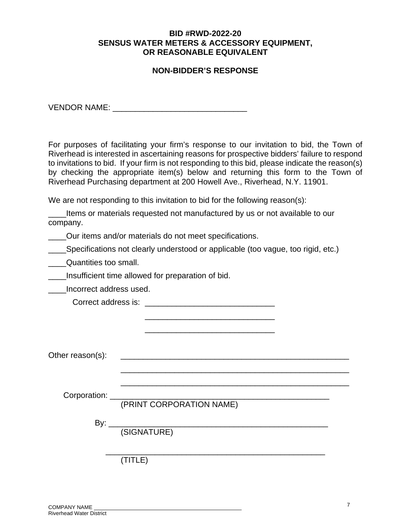#### **BID #RWD-2022-20 SENSUS WATER METERS & ACCESSORY EQUIPMENT, OR REASONABLE EQUIVALENT**

# **NON-BIDDER'S RESPONSE**

VENDOR NAME: \_\_\_\_\_\_\_\_\_\_\_\_\_\_\_\_\_\_\_\_\_\_\_\_\_\_\_\_\_\_

For purposes of facilitating your firm's response to our invitation to bid, the Town of Riverhead is interested in ascertaining reasons for prospective bidders' failure to respond to invitations to bid. If your firm is not responding to this bid, please indicate the reason(s) by checking the appropriate item(s) below and returning this form to the Town of Riverhead Purchasing department at 200 Howell Ave., Riverhead, N.Y. 11901.

We are not responding to this invitation to bid for the following reason(s):

\_\_\_\_Items or materials requested not manufactured by us or not available to our company.

Our items and/or materials do not meet specifications.

**\_\_\_\_Specifications not clearly understood or applicable (too vague, too rigid, etc.)** 

**Example 2** Quantities too small.

\_\_\_\_Insufficient time allowed for preparation of bid.

\_\_\_\_Incorrect address used.

| Correct address is: |  |
|---------------------|--|
|---------------------|--|

 $\frac{1}{\sqrt{2}}$  ,  $\frac{1}{\sqrt{2}}$  ,  $\frac{1}{\sqrt{2}}$  ,  $\frac{1}{\sqrt{2}}$  ,  $\frac{1}{\sqrt{2}}$  ,  $\frac{1}{\sqrt{2}}$  ,  $\frac{1}{\sqrt{2}}$  ,  $\frac{1}{\sqrt{2}}$  ,  $\frac{1}{\sqrt{2}}$  ,  $\frac{1}{\sqrt{2}}$  ,  $\frac{1}{\sqrt{2}}$  ,  $\frac{1}{\sqrt{2}}$  ,  $\frac{1}{\sqrt{2}}$  ,  $\frac{1}{\sqrt{2}}$  ,  $\frac{1}{\sqrt{2}}$  $\frac{1}{\sqrt{2}}$  ,  $\frac{1}{\sqrt{2}}$  ,  $\frac{1}{\sqrt{2}}$  ,  $\frac{1}{\sqrt{2}}$  ,  $\frac{1}{\sqrt{2}}$  ,  $\frac{1}{\sqrt{2}}$  ,  $\frac{1}{\sqrt{2}}$  ,  $\frac{1}{\sqrt{2}}$  ,  $\frac{1}{\sqrt{2}}$  ,  $\frac{1}{\sqrt{2}}$  ,  $\frac{1}{\sqrt{2}}$  ,  $\frac{1}{\sqrt{2}}$  ,  $\frac{1}{\sqrt{2}}$  ,  $\frac{1}{\sqrt{2}}$  ,  $\frac{1}{\sqrt{2}}$ 

Other reason(s): \_\_\_\_\_\_\_\_\_\_\_\_\_\_\_\_\_\_\_\_\_\_\_\_\_\_\_\_\_\_\_\_\_\_\_\_\_\_\_\_\_\_\_\_\_\_\_\_\_\_\_

Corporation:

(PRINT CORPORATION NAME)

 \_\_\_\_\_\_\_\_\_\_\_\_\_\_\_\_\_\_\_\_\_\_\_\_\_\_\_\_\_\_\_\_\_\_\_\_\_\_\_\_\_\_\_\_\_\_\_\_\_\_\_ \_\_\_\_\_\_\_\_\_\_\_\_\_\_\_\_\_\_\_\_\_\_\_\_\_\_\_\_\_\_\_\_\_\_\_\_\_\_\_\_\_\_\_\_\_\_\_\_\_\_\_

By:  $\frac{y}{y}$ 

(SIGNATURE)

 $\overline{\phantom{a}}$  ,  $\overline{\phantom{a}}$  ,  $\overline{\phantom{a}}$  ,  $\overline{\phantom{a}}$  ,  $\overline{\phantom{a}}$  ,  $\overline{\phantom{a}}$  ,  $\overline{\phantom{a}}$  ,  $\overline{\phantom{a}}$  ,  $\overline{\phantom{a}}$  ,  $\overline{\phantom{a}}$  ,  $\overline{\phantom{a}}$  ,  $\overline{\phantom{a}}$  ,  $\overline{\phantom{a}}$  ,  $\overline{\phantom{a}}$  ,  $\overline{\phantom{a}}$  ,  $\overline{\phantom{a}}$ (TITLE)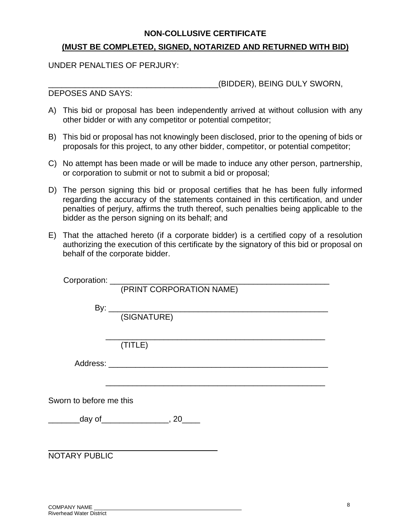#### **NON-COLLUSIVE CERTIFICATE**

# **(MUST BE COMPLETED, SIGNED, NOTARIZED AND RETURNED WITH BID)**

UNDER PENALTIES OF PERJURY:

\_\_\_\_\_\_\_\_\_\_\_\_\_\_\_\_\_\_\_\_\_\_\_\_\_\_\_\_\_\_\_\_\_\_\_\_\_\_(BIDDER), BEING DULY SWORN,

DEPOSES AND SAYS:

- A) This bid or proposal has been independently arrived at without collusion with any other bidder or with any competitor or potential competitor;
- B) This bid or proposal has not knowingly been disclosed, prior to the opening of bids or proposals for this project, to any other bidder, competitor, or potential competitor;
- C) No attempt has been made or will be made to induce any other person, partnership, or corporation to submit or not to submit a bid or proposal;
- D) The person signing this bid or proposal certifies that he has been fully informed regarding the accuracy of the statements contained in this certification, and under penalties of perjury, affirms the truth thereof, such penalties being applicable to the bidder as the person signing on its behalf; and
- E) That the attached hereto (if a corporate bidder) is a certified copy of a resolution authorizing the execution of this certificate by the signatory of this bid or proposal on behalf of the corporate bidder.

|                         | (PRINT CORPORATION NAME)                      |
|-------------------------|-----------------------------------------------|
|                         |                                               |
|                         |                                               |
|                         |                                               |
|                         |                                               |
|                         | (TITLE)                                       |
|                         |                                               |
|                         |                                               |
|                         |                                               |
|                         |                                               |
| Sworn to before me this |                                               |
|                         | ___________day of___________________, 20_____ |
|                         |                                               |
|                         |                                               |
|                         |                                               |
| <b>NOTARY PUBLIC</b>    |                                               |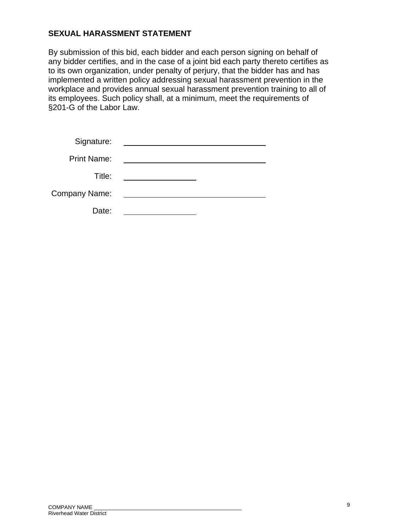# **SEXUAL HARASSMENT STATEMENT**

By submission of this bid, each bidder and each person signing on behalf of any bidder certifies, and in the case of a joint bid each party thereto certifies as to its own organization, under penalty of perjury, that the bidder has and has implemented a written policy addressing sexual harassment prevention in the workplace and provides annual sexual harassment prevention training to all of its employees. Such policy shall, at a minimum, meet the requirements of §201-G of the Labor Law.

| Signature:           |  |
|----------------------|--|
| <b>Print Name:</b>   |  |
| Title:               |  |
| <b>Company Name:</b> |  |
| Date:                |  |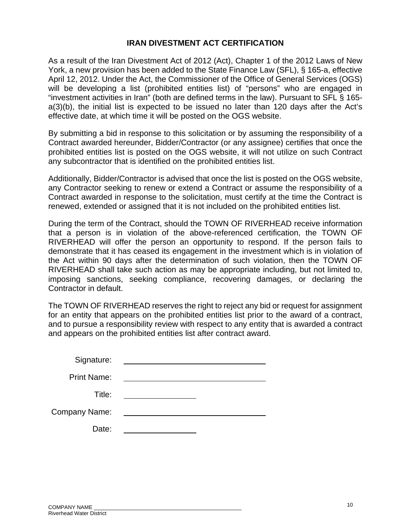#### **IRAN DIVESTMENT ACT CERTIFICATION**

As a result of the Iran Divestment Act of 2012 (Act), Chapter 1 of the 2012 Laws of New York, a new provision has been added to the State Finance Law (SFL), § 165-a, effective April 12, 2012. Under the Act, the Commissioner of the Office of General Services (OGS) will be developing a list (prohibited entities list) of "persons" who are engaged in "investment activities in Iran" (both are defined terms in the law). Pursuant to SFL § 165 a(3)(b), the initial list is expected to be issued no later than 120 days after the Act's effective date, at which time it will be posted on the OGS website.

By submitting a bid in response to this solicitation or by assuming the responsibility of a Contract awarded hereunder, Bidder/Contractor (or any assignee) certifies that once the prohibited entities list is posted on the OGS website, it will not utilize on such Contract any subcontractor that is identified on the prohibited entities list.

Additionally, Bidder/Contractor is advised that once the list is posted on the OGS website, any Contractor seeking to renew or extend a Contract or assume the responsibility of a Contract awarded in response to the solicitation, must certify at the time the Contract is renewed, extended or assigned that it is not included on the prohibited entities list.

During the term of the Contract, should the TOWN OF RIVERHEAD receive information that a person is in violation of the above-referenced certification, the TOWN OF RIVERHEAD will offer the person an opportunity to respond. If the person fails to demonstrate that it has ceased its engagement in the investment which is in violation of the Act within 90 days after the determination of such violation, then the TOWN OF RIVERHEAD shall take such action as may be appropriate including, but not limited to, imposing sanctions, seeking compliance, recovering damages, or declaring the Contractor in default.

The TOWN OF RIVERHEAD reserves the right to reject any bid or request for assignment for an entity that appears on the prohibited entities list prior to the award of a contract, and to pursue a responsibility review with respect to any entity that is awarded a contract and appears on the prohibited entities list after contract award.

| Signature:           |  |
|----------------------|--|
| <b>Print Name:</b>   |  |
| Title:               |  |
| <b>Company Name:</b> |  |
| Date:                |  |
|                      |  |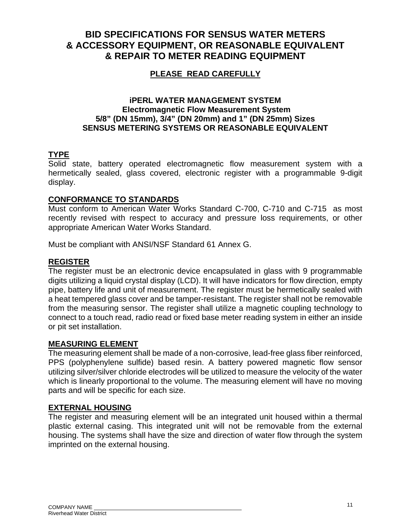# **BID SPECIFICATIONS FOR SENSUS WATER METERS & ACCESSORY EQUIPMENT, OR REASONABLE EQUIVALENT & REPAIR TO METER READING EQUIPMENT**

# **PLEASE READ CAREFULLY**

## **iPERL WATER MANAGEMENT SYSTEM Electromagnetic Flow Measurement System 5/8" (DN 15mm), 3/4" (DN 20mm) and 1" (DN 25mm) Sizes SENSUS METERING SYSTEMS OR REASONABLE EQUIVALENT**

# **TYPE**

Solid state, battery operated electromagnetic flow measurement system with a hermetically sealed, glass covered, electronic register with a programmable 9-digit display.

#### **CONFORMANCE TO STANDARDS**

Must conform to American Water Works Standard C-700, C-710 and C-715 as most recently revised with respect to accuracy and pressure loss requirements, or other appropriate American Water Works Standard.

Must be compliant with ANSI/NSF Standard 61 Annex G.

# **REGISTER**

The register must be an electronic device encapsulated in glass with 9 programmable digits utilizing a liquid crystal display (LCD). It will have indicators for flow direction, empty pipe, battery life and unit of measurement. The register must be hermetically sealed with a heat tempered glass cover and be tamper-resistant. The register shall not be removable from the measuring sensor. The register shall utilize a magnetic coupling technology to connect to a touch read, radio read or fixed base meter reading system in either an inside or pit set installation.

#### **MEASURING ELEMENT**

The measuring element shall be made of a non-corrosive, lead-free glass fiber reinforced, PPS (polyphenylene sulfide) based resin. A battery powered magnetic flow sensor utilizing silver/silver chloride electrodes will be utilized to measure the velocity of the water which is linearly proportional to the volume. The measuring element will have no moving parts and will be specific for each size.

#### **EXTERNAL HOUSING**

The register and measuring element will be an integrated unit housed within a thermal plastic external casing. This integrated unit will not be removable from the external housing. The systems shall have the size and direction of water flow through the system imprinted on the external housing.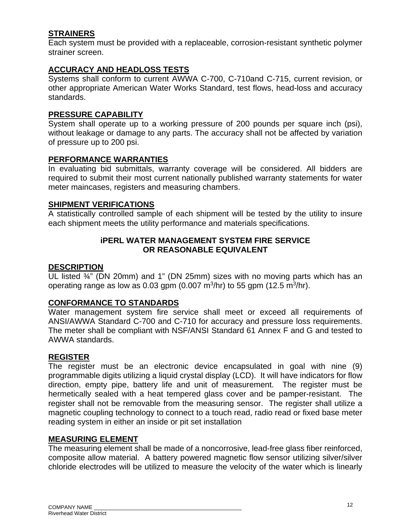# **STRAINERS**

Each system must be provided with a replaceable, corrosion-resistant synthetic polymer strainer screen.

# **ACCURACY AND HEADLOSS TESTS**

Systems shall conform to current AWWA C-700, C-710and C-715, current revision, or other appropriate American Water Works Standard, test flows, head-loss and accuracy standards.

#### **PRESSURE CAPABILITY**

System shall operate up to a working pressure of 200 pounds per square inch (psi), without leakage or damage to any parts. The accuracy shall not be affected by variation of pressure up to 200 psi.

## **PERFORMANCE WARRANTIES**

In evaluating bid submittals, warranty coverage will be considered. All bidders are required to submit their most current nationally published warranty statements for water meter maincases, registers and measuring chambers.

# **SHIPMENT VERIFICATIONS**

A statistically controlled sample of each shipment will be tested by the utility to insure each shipment meets the utility performance and materials specifications.

# **iPERL WATER MANAGEMENT SYSTEM FIRE SERVICE OR REASONABLE EQUIVALENT**

# **DESCRIPTION**

UL listed ¾" (DN 20mm) and 1" (DN 25mm) sizes with no moving parts which has an operating range as low as 0.03 gpm (0.007 m<sup>3</sup>/hr) to 55 gpm (12.5 m<sup>3</sup>/hr).

#### **CONFORMANCE TO STANDARDS**

Water management system fire service shall meet or exceed all requirements of ANSI/AWWA Standard C-700 and C-710 for accuracy and pressure loss requirements. The meter shall be compliant with NSF/ANSI Standard 61 Annex F and G and tested to AWWA standards.

#### **REGISTER**

The register must be an electronic device encapsulated in goal with nine (9) programmable digits utilizing a liquid crystal display (LCD). It will have indicators for flow direction, empty pipe, battery life and unit of measurement. The register must be hermetically sealed with a heat tempered glass cover and be pamper-resistant. The register shall not be removable from the measuring sensor. The register shall utilize a magnetic coupling technology to connect to a touch read, radio read or fixed base meter reading system in either an inside or pit set installation

#### **MEASURING ELEMENT**

The measuring element shall be made of a noncorrosive, lead-free glass fiber reinforced, composite allow material. A battery powered magnetic flow sensor utilizing silver/silver chloride electrodes will be utilized to measure the velocity of the water which is linearly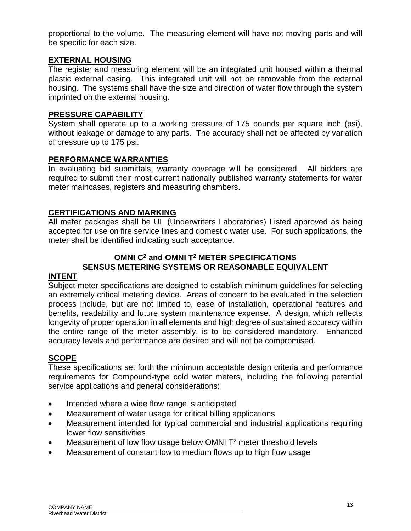proportional to the volume. The measuring element will have not moving parts and will be specific for each size.

# **EXTERNAL HOUSING**

The register and measuring element will be an integrated unit housed within a thermal plastic external casing. This integrated unit will not be removable from the external housing. The systems shall have the size and direction of water flow through the system imprinted on the external housing.

#### **PRESSURE CAPABILITY**

System shall operate up to a working pressure of 175 pounds per square inch (psi), without leakage or damage to any parts. The accuracy shall not be affected by variation of pressure up to 175 psi.

#### **PERFORMANCE WARRANTIES**

In evaluating bid submittals, warranty coverage will be considered. All bidders are required to submit their most current nationally published warranty statements for water meter maincases, registers and measuring chambers.

# **CERTIFICATIONS AND MARKING**

All meter packages shall be UL (Underwriters Laboratories) Listed approved as being accepted for use on fire service lines and domestic water use. For such applications, the meter shall be identified indicating such acceptance.

# **OMNI C2 and OMNI T2 METER SPECIFICATIONS SENSUS METERING SYSTEMS OR REASONABLE EQUIVALENT**

#### **INTENT**

Subject meter specifications are designed to establish minimum guidelines for selecting an extremely critical metering device. Areas of concern to be evaluated in the selection process include, but are not limited to, ease of installation, operational features and benefits, readability and future system maintenance expense. A design, which reflects longevity of proper operation in all elements and high degree of sustained accuracy within the entire range of the meter assembly, is to be considered mandatory. Enhanced accuracy levels and performance are desired and will not be compromised.

#### **SCOPE**

These specifications set forth the minimum acceptable design criteria and performance requirements for Compound-type cold water meters, including the following potential service applications and general considerations:

- Intended where a wide flow range is anticipated
- Measurement of water usage for critical billing applications
- Measurement intended for typical commercial and industrial applications requiring lower flow sensitivities
- Measurement of low flow usage below OMNI T<sup>2</sup> meter threshold levels
- Measurement of constant low to medium flows up to high flow usage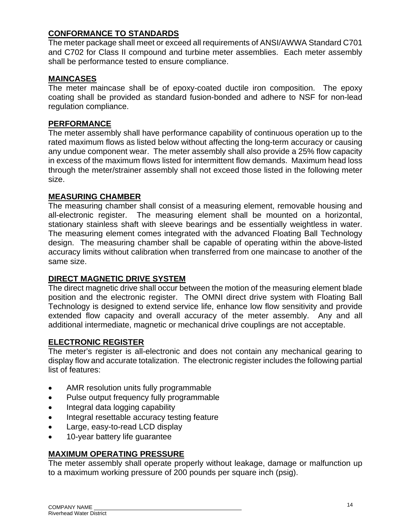# **CONFORMANCE TO STANDARDS**

The meter package shall meet or exceed all requirements of ANSI/AWWA Standard C701 and C702 for Class II compound and turbine meter assemblies. Each meter assembly shall be performance tested to ensure compliance.

# **MAINCASES**

The meter maincase shall be of epoxy-coated ductile iron composition. The epoxy coating shall be provided as standard fusion-bonded and adhere to NSF for non-lead regulation compliance.

# **PERFORMANCE**

The meter assembly shall have performance capability of continuous operation up to the rated maximum flows as listed below without affecting the long-term accuracy or causing any undue component wear. The meter assembly shall also provide a 25% flow capacity in excess of the maximum flows listed for intermittent flow demands. Maximum head loss through the meter/strainer assembly shall not exceed those listed in the following meter size.

# **MEASURING CHAMBER**

The measuring chamber shall consist of a measuring element, removable housing and all-electronic register. The measuring element shall be mounted on a horizontal, stationary stainless shaft with sleeve bearings and be essentially weightless in water. The measuring element comes integrated with the advanced Floating Ball Technology design. The measuring chamber shall be capable of operating within the above-listed accuracy limits without calibration when transferred from one maincase to another of the same size.

# **DIRECT MAGNETIC DRIVE SYSTEM**

The direct magnetic drive shall occur between the motion of the measuring element blade position and the electronic register. The OMNI direct drive system with Floating Ball Technology is designed to extend service life, enhance low flow sensitivity and provide extended flow capacity and overall accuracy of the meter assembly. Any and all additional intermediate, magnetic or mechanical drive couplings are not acceptable.

# **ELECTRONIC REGISTER**

The meter's register is all-electronic and does not contain any mechanical gearing to display flow and accurate totalization. The electronic register includes the following partial list of features:

- AMR resolution units fully programmable
- Pulse output frequency fully programmable
- Integral data logging capability
- Integral resettable accuracy testing feature
- Large, easy-to-read LCD display
- 10-year battery life quarantee

# **MAXIMUM OPERATING PRESSURE**

The meter assembly shall operate properly without leakage, damage or malfunction up to a maximum working pressure of 200 pounds per square inch (psig).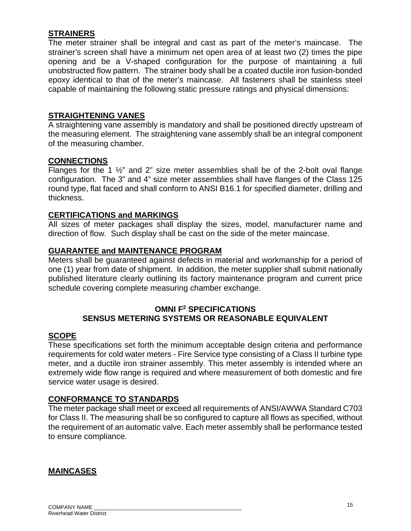# **STRAINERS**

The meter strainer shall be integral and cast as part of the meter's maincase. The strainer's screen shall have a minimum net open area of at least two (2) times the pipe opening and be a V-shaped configuration for the purpose of maintaining a full unobstructed flow pattern. The strainer body shall be a coated ductile iron fusion-bonded epoxy identical to that of the meter's maincase. All fasteners shall be stainless steel capable of maintaining the following static pressure ratings and physical dimensions:

#### **STRAIGHTENING VANES**

A straightening vane assembly is mandatory and shall be positioned directly upstream of the measuring element. The straightening vane assembly shall be an integral component of the measuring chamber.

#### **CONNECTIONS**

Flanges for the 1 ½" and 2" size meter assemblies shall be of the 2-bolt oval flange configuration. The 3" and 4" size meter assemblies shall have flanges of the Class 125 round type, flat faced and shall conform to ANSI B16.1 for specified diameter, drilling and thickness.

#### **CERTIFICATIONS and MARKINGS**

All sizes of meter packages shall display the sizes, model, manufacturer name and direction of flow. Such display shall be cast on the side of the meter maincase.

#### **GUARANTEE and MAINTENANCE PROGRAM**

Meters shall be guaranteed against defects in material and workmanship for a period of one (1) year from date of shipment. In addition, the meter supplier shall submit nationally published literature clearly outlining its factory maintenance program and current price schedule covering complete measuring chamber exchange.

#### **OMNI F2 SPECIFICATIONS SENSUS METERING SYSTEMS OR REASONABLE EQUIVALENT**

#### **SCOPE**

These specifications set forth the minimum acceptable design criteria and performance requirements for cold water meters - Fire Service type consisting of a Class II turbine type meter, and a ductile iron strainer assembly. This meter assembly is intended where an extremely wide flow range is required and where measurement of both domestic and fire service water usage is desired.

#### **CONFORMANCE TO STANDARDS**

The meter package shall meet or exceed all requirements of ANSI/AWWA Standard C703 for Class II. The measuring shall be so configured to capture all flows as specified, without the requirement of an automatic valve. Each meter assembly shall be performance tested to ensure compliance.

#### **MAINCASES**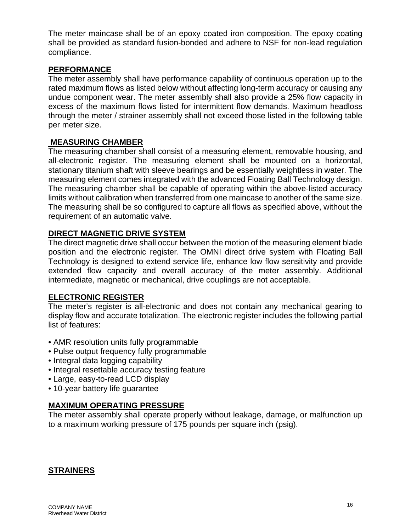The meter maincase shall be of an epoxy coated iron composition. The epoxy coating shall be provided as standard fusion-bonded and adhere to NSF for non-lead regulation compliance.

# **PERFORMANCE**

The meter assembly shall have performance capability of continuous operation up to the rated maximum flows as listed below without affecting long-term accuracy or causing any undue component wear. The meter assembly shall also provide a 25% flow capacity in excess of the maximum flows listed for intermittent flow demands. Maximum headloss through the meter / strainer assembly shall not exceed those listed in the following table per meter size.

#### **MEASURING CHAMBER**

The measuring chamber shall consist of a measuring element, removable housing, and all-electronic register. The measuring element shall be mounted on a horizontal, stationary titanium shaft with sleeve bearings and be essentially weightless in water. The measuring element comes integrated with the advanced Floating Ball Technology design. The measuring chamber shall be capable of operating within the above-listed accuracy limits without calibration when transferred from one maincase to another of the same size. The measuring shall be so configured to capture all flows as specified above, without the requirement of an automatic valve.

# **DIRECT MAGNETIC DRIVE SYSTEM**

The direct magnetic drive shall occur between the motion of the measuring element blade position and the electronic register. The OMNI direct drive system with Floating Ball Technology is designed to extend service life, enhance low flow sensitivity and provide extended flow capacity and overall accuracy of the meter assembly. Additional intermediate, magnetic or mechanical, drive couplings are not acceptable.

#### **ELECTRONIC REGISTER**

The meter's register is all-electronic and does not contain any mechanical gearing to display flow and accurate totalization. The electronic register includes the following partial list of features:

- AMR resolution units fully programmable
- Pulse output frequency fully programmable
- Integral data logging capability
- Integral resettable accuracy testing feature
- Large, easy-to-read LCD display
- 10-year battery life guarantee

# **MAXIMUM OPERATING PRESSURE**

The meter assembly shall operate properly without leakage, damage, or malfunction up to a maximum working pressure of 175 pounds per square inch (psig).

# **STRAINERS**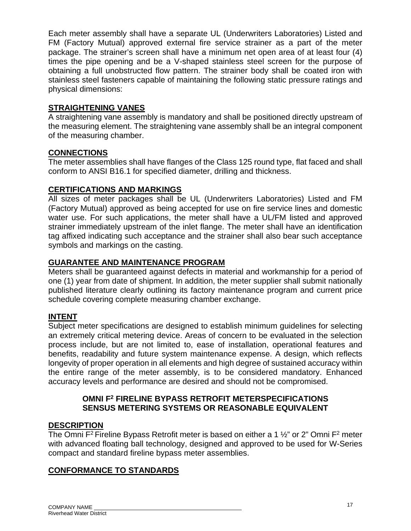Each meter assembly shall have a separate UL (Underwriters Laboratories) Listed and FM (Factory Mutual) approved external fire service strainer as a part of the meter package. The strainer's screen shall have a minimum net open area of at least four (4) times the pipe opening and be a V-shaped stainless steel screen for the purpose of obtaining a full unobstructed flow pattern. The strainer body shall be coated iron with stainless steel fasteners capable of maintaining the following static pressure ratings and physical dimensions:

# **STRAIGHTENING VANES**

A straightening vane assembly is mandatory and shall be positioned directly upstream of the measuring element. The straightening vane assembly shall be an integral component of the measuring chamber.

# **CONNECTIONS**

The meter assemblies shall have flanges of the Class 125 round type, flat faced and shall conform to ANSI B16.1 for specified diameter, drilling and thickness.

# **CERTIFICATIONS AND MARKINGS**

All sizes of meter packages shall be UL (Underwriters Laboratories) Listed and FM (Factory Mutual) approved as being accepted for use on fire service lines and domestic water use. For such applications, the meter shall have a UL/FM listed and approved strainer immediately upstream of the inlet flange. The meter shall have an identification tag affixed indicating such acceptance and the strainer shall also bear such acceptance symbols and markings on the casting.

# **GUARANTEE AND MAINTENANCE PROGRAM**

Meters shall be guaranteed against defects in material and workmanship for a period of one (1) year from date of shipment. In addition, the meter supplier shall submit nationally published literature clearly outlining its factory maintenance program and current price schedule covering complete measuring chamber exchange.

# **INTENT**

Subject meter specifications are designed to establish minimum guidelines for selecting an extremely critical metering device. Areas of concern to be evaluated in the selection process include, but are not limited to, ease of installation, operational features and benefits, readability and future system maintenance expense. A design, which reflects longevity of proper operation in all elements and high degree of sustained accuracy within the entire range of the meter assembly, is to be considered mandatory. Enhanced accuracy levels and performance are desired and should not be compromised.

# **OMNI F2 FIRELINE BYPASS RETROFIT METERSPECIFICATIONS SENSUS METERING SYSTEMS OR REASONABLE EQUIVALENT**

# **DESCRIPTION**

The Omni  $F^2$  Fireline Bypass Retrofit meter is based on either a 1  $\frac{1}{2}$ " or 2" Omni  $F^2$  meter with advanced floating ball technology, designed and approved to be used for W-Series compact and standard fireline bypass meter assemblies.

# **CONFORMANCE TO STANDARDS**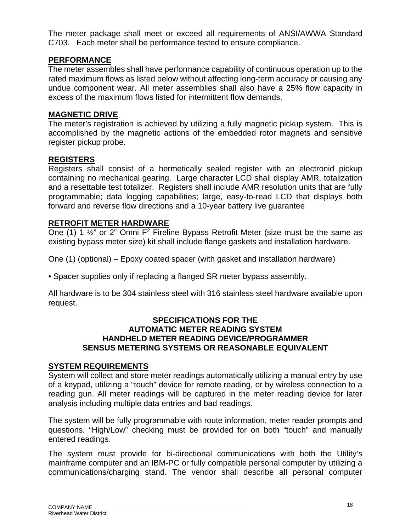The meter package shall meet or exceed all requirements of ANSI/AWWA Standard C703. Each meter shall be performance tested to ensure compliance.

# **PERFORMANCE**

The meter assembles shall have performance capability of continuous operation up to the rated maximum flows as listed below without affecting long-term accuracy or causing any undue component wear. All meter assemblies shall also have a 25% flow capacity in excess of the maximum flows listed for intermittent flow demands.

#### **MAGNETIC DRIVE**

The meter's registration is achieved by utilizing a fully magnetic pickup system. This is accomplished by the magnetic actions of the embedded rotor magnets and sensitive register pickup probe.

#### **REGISTERS**

Registers shall consist of a hermetically sealed register with an electronid pickup containing no mechanical gearing. Large character LCD shall display AMR, totalization and a resettable test totalizer. Registers shall include AMR resolution units that are fully programmable; data logging capabilities; large, easy-to-read LCD that displays both forward and reverse flow directions and a 10-year battery live guarantee

# **RETROFIT METER HARDWARE**

One (1) 1  $\frac{1}{2}$ " or 2" Omni F<sup>2</sup> Fireline Bypass Retrofit Meter (size must be the same as existing bypass meter size) kit shall include flange gaskets and installation hardware.

One (1) (optional) – Epoxy coated spacer (with gasket and installation hardware)

• Spacer supplies only if replacing a flanged SR meter bypass assembly.

All hardware is to be 304 stainless steel with 316 stainless steel hardware available upon request.

#### **SPECIFICATIONS FOR THE AUTOMATIC METER READING SYSTEM HANDHELD METER READING DEVICE/PROGRAMMER SENSUS METERING SYSTEMS OR REASONABLE EQUIVALENT**

#### **SYSTEM REQUIREMENTS**

System will collect and store meter readings automatically utilizing a manual entry by use of a keypad, utilizing a "touch" device for remote reading, or by wireless connection to a reading gun. All meter readings will be captured in the meter reading device for later analysis including multiple data entries and bad readings.

The system will be fully programmable with route information, meter reader prompts and questions. "High/Low" checking must be provided for on both "touch" and manually entered readings.

The system must provide for bi-directional communications with both the Utility's mainframe computer and an IBM-PC or fully compatible personal computer by utilizing a communications/charging stand. The vendor shall describe all personal computer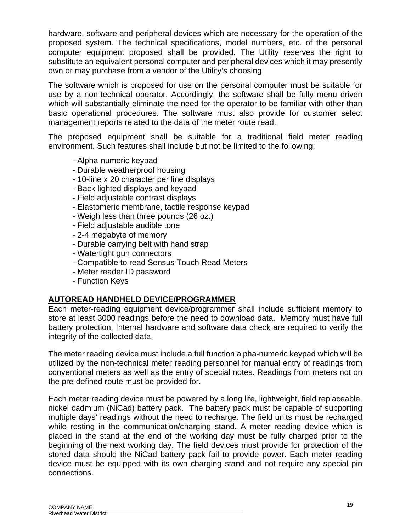hardware, software and peripheral devices which are necessary for the operation of the proposed system. The technical specifications, model numbers, etc. of the personal computer equipment proposed shall be provided. The Utility reserves the right to substitute an equivalent personal computer and peripheral devices which it may presently own or may purchase from a vendor of the Utility's choosing.

The software which is proposed for use on the personal computer must be suitable for use by a non-technical operator. Accordingly, the software shall be fully menu driven which will substantially eliminate the need for the operator to be familiar with other than basic operational procedures. The software must also provide for customer select management reports related to the data of the meter route read.

The proposed equipment shall be suitable for a traditional field meter reading environment. Such features shall include but not be limited to the following:

- Alpha-numeric keypad
- Durable weatherproof housing
- 10-line x 20 character per line displays
- Back lighted displays and keypad
- Field adjustable contrast displays
- Elastomeric membrane, tactile response keypad
- Weigh less than three pounds (26 oz.)
- Field adjustable audible tone
- 2-4 megabyte of memory
- Durable carrying belt with hand strap
- Watertight gun connectors
- Compatible to read Sensus Touch Read Meters
- Meter reader ID password
- Function Keys

# **AUTOREAD HANDHELD DEVICE/PROGRAMMER**

Each meter-reading equipment device/programmer shall include sufficient memory to store at least 3000 readings before the need to download data. Memory must have full battery protection. Internal hardware and software data check are required to verify the integrity of the collected data.

The meter reading device must include a full function alpha-numeric keypad which will be utilized by the non-technical meter reading personnel for manual entry of readings from conventional meters as well as the entry of special notes. Readings from meters not on the pre-defined route must be provided for.

Each meter reading device must be powered by a long life, lightweight, field replaceable, nickel cadmium (NiCad) battery pack. The battery pack must be capable of supporting multiple days' readings without the need to recharge. The field units must be recharged while resting in the communication/charging stand. A meter reading device which is placed in the stand at the end of the working day must be fully charged prior to the beginning of the next working day. The field devices must provide for protection of the stored data should the NiCad battery pack fail to provide power. Each meter reading device must be equipped with its own charging stand and not require any special pin connections.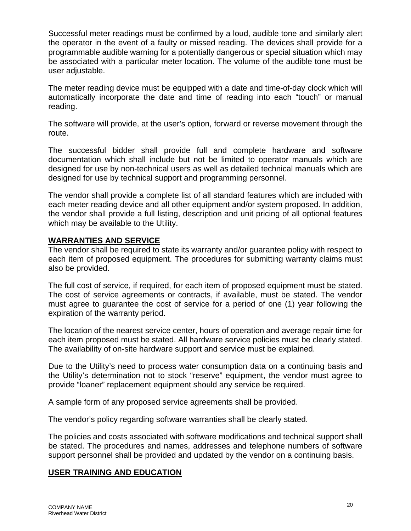Successful meter readings must be confirmed by a loud, audible tone and similarly alert the operator in the event of a faulty or missed reading. The devices shall provide for a programmable audible warning for a potentially dangerous or special situation which may be associated with a particular meter location. The volume of the audible tone must be user adjustable.

The meter reading device must be equipped with a date and time-of-day clock which will automatically incorporate the date and time of reading into each "touch" or manual reading.

The software will provide, at the user's option, forward or reverse movement through the route.

The successful bidder shall provide full and complete hardware and software documentation which shall include but not be limited to operator manuals which are designed for use by non-technical users as well as detailed technical manuals which are designed for use by technical support and programming personnel.

The vendor shall provide a complete list of all standard features which are included with each meter reading device and all other equipment and/or system proposed. In addition, the vendor shall provide a full listing, description and unit pricing of all optional features which may be available to the Utility.

# **WARRANTIES AND SERVICE**

The vendor shall be required to state its warranty and/or guarantee policy with respect to each item of proposed equipment. The procedures for submitting warranty claims must also be provided.

The full cost of service, if required, for each item of proposed equipment must be stated. The cost of service agreements or contracts, if available, must be stated. The vendor must agree to guarantee the cost of service for a period of one (1) year following the expiration of the warranty period.

The location of the nearest service center, hours of operation and average repair time for each item proposed must be stated. All hardware service policies must be clearly stated. The availability of on-site hardware support and service must be explained.

Due to the Utility's need to process water consumption data on a continuing basis and the Utility's determination not to stock "reserve" equipment, the vendor must agree to provide "loaner" replacement equipment should any service be required.

A sample form of any proposed service agreements shall be provided.

The vendor's policy regarding software warranties shall be clearly stated.

The policies and costs associated with software modifications and technical support shall be stated. The procedures and names, addresses and telephone numbers of software support personnel shall be provided and updated by the vendor on a continuing basis.

# **USER TRAINING AND EDUCATION**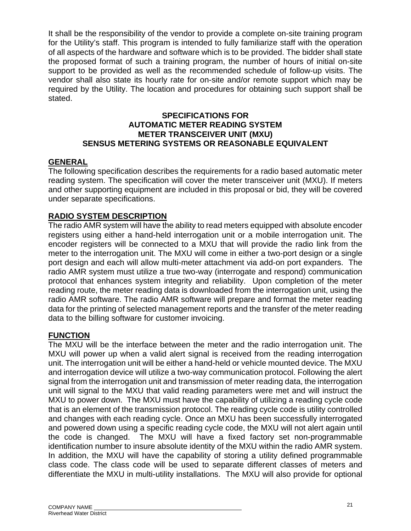It shall be the responsibility of the vendor to provide a complete on-site training program for the Utility's staff. This program is intended to fully familiarize staff with the operation of all aspects of the hardware and software which is to be provided. The bidder shall state the proposed format of such a training program, the number of hours of initial on-site support to be provided as well as the recommended schedule of follow-up visits. The vendor shall also state its hourly rate for on-site and/or remote support which may be required by the Utility. The location and procedures for obtaining such support shall be stated.

# **SPECIFICATIONS FOR AUTOMATIC METER READING SYSTEM METER TRANSCEIVER UNIT (MXU) SENSUS METERING SYSTEMS OR REASONABLE EQUIVALENT**

# **GENERAL**

The following specification describes the requirements for a radio based automatic meter reading system. The specification will cover the meter transceiver unit (MXU). If meters and other supporting equipment are included in this proposal or bid, they will be covered under separate specifications.

# **RADIO SYSTEM DESCRIPTION**

The radio AMR system will have the ability to read meters equipped with absolute encoder registers using either a hand-held interrogation unit or a mobile interrogation unit. The encoder registers will be connected to a MXU that will provide the radio link from the meter to the interrogation unit. The MXU will come in either a two-port design or a single port design and each will allow multi-meter attachment via add-on port expanders. The radio AMR system must utilize a true two-way (interrogate and respond) communication protocol that enhances system integrity and reliability. Upon completion of the meter reading route, the meter reading data is downloaded from the interrogation unit, using the radio AMR software. The radio AMR software will prepare and format the meter reading data for the printing of selected management reports and the transfer of the meter reading data to the billing software for customer invoicing.

# **FUNCTION**

The MXU will be the interface between the meter and the radio interrogation unit. The MXU will power up when a valid alert signal is received from the reading interrogation unit. The interrogation unit will be either a hand-held or vehicle mounted device. The MXU and interrogation device will utilize a two-way communication protocol. Following the alert signal from the interrogation unit and transmission of meter reading data, the interrogation unit will signal to the MXU that valid reading parameters were met and will instruct the MXU to power down. The MXU must have the capability of utilizing a reading cycle code that is an element of the transmission protocol. The reading cycle code is utility controlled and changes with each reading cycle. Once an MXU has been successfully interrogated and powered down using a specific reading cycle code, the MXU will not alert again until the code is changed. The MXU will have a fixed factory set non-programmable identification number to insure absolute identity of the MXU within the radio AMR system. In addition, the MXU will have the capability of storing a utility defined programmable class code. The class code will be used to separate different classes of meters and differentiate the MXU in multi-utility installations. The MXU will also provide for optional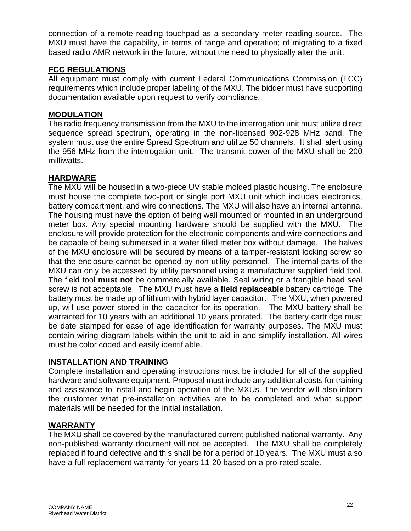connection of a remote reading touchpad as a secondary meter reading source. The MXU must have the capability, in terms of range and operation; of migrating to a fixed based radio AMR network in the future, without the need to physically alter the unit.

# **FCC REGULATIONS**

All equipment must comply with current Federal Communications Commission (FCC) requirements which include proper labeling of the MXU. The bidder must have supporting documentation available upon request to verify compliance.

# **MODULATION**

The radio frequency transmission from the MXU to the interrogation unit must utilize direct sequence spread spectrum, operating in the non-licensed 902-928 MHz band. The system must use the entire Spread Spectrum and utilize 50 channels. It shall alert using the 956 MHz from the interrogation unit. The transmit power of the MXU shall be 200 milliwatts.

# **HARDWARE**

The MXU will be housed in a two-piece UV stable molded plastic housing. The enclosure must house the complete two-port or single port MXU unit which includes electronics, battery compartment, and wire connections. The MXU will also have an internal antenna. The housing must have the option of being wall mounted or mounted in an underground meter box. Any special mounting hardware should be supplied with the MXU. The enclosure will provide protection for the electronic components and wire connections and be capable of being submersed in a water filled meter box without damage. The halves of the MXU enclosure will be secured by means of a tamper-resistant locking screw so that the enclosure cannot be opened by non-utility personnel. The internal parts of the MXU can only be accessed by utility personnel using a manufacturer supplied field tool. The field tool **must not** be commercially available. Seal wiring or a frangible head seal screw is not acceptable. The MXU must have a **field replaceable** battery cartridge. The battery must be made up of lithium with hybrid layer capacitor. The MXU, when powered up, will use power stored in the capacitor for its operation. The MXU battery shall be warranted for 10 years with an additional 10 years prorated. The battery cartridge must be date stamped for ease of age identification for warranty purposes. The MXU must contain wiring diagram labels within the unit to aid in and simplify installation. All wires must be color coded and easily identifiable.

#### **INSTALLATION AND TRAINING**

Complete installation and operating instructions must be included for all of the supplied hardware and software equipment. Proposal must include any additional costs for training and assistance to install and begin operation of the MXUs. The vendor will also inform the customer what pre-installation activities are to be completed and what support materials will be needed for the initial installation.

#### **WARRANTY**

The MXU shall be covered by the manufactured current published national warranty. Any non-published warranty document will not be accepted. The MXU shall be completely replaced if found defective and this shall be for a period of 10 years. The MXU must also have a full replacement warranty for years 11-20 based on a pro-rated scale.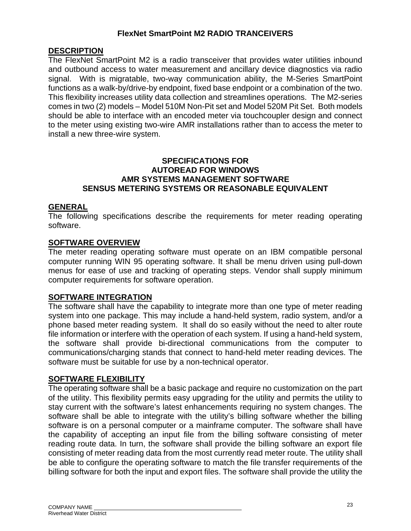# **FlexNet SmartPoint M2 RADIO TRANCEIVERS**

# **DESCRIPTION**

The FlexNet SmartPoint M2 is a radio transceiver that provides water utilities inbound and outbound access to water measurement and ancillary device diagnostics via radio signal. With is migratable, two-way communication ability, the M-Series SmartPoint functions as a walk-by/drive-by endpoint, fixed base endpoint or a combination of the two. This flexibility increases utility data collection and streamlines operations. The M2-series comes in two (2) models – Model 510M Non-Pit set and Model 520M Pit Set. Both models should be able to interface with an encoded meter via touchcoupler design and connect to the meter using existing two-wire AMR installations rather than to access the meter to install a new three-wire system.

# **SPECIFICATIONS FOR AUTOREAD FOR WINDOWS AMR SYSTEMS MANAGEMENT SOFTWARE SENSUS METERING SYSTEMS OR REASONABLE EQUIVALENT**

#### **GENERAL**

The following specifications describe the requirements for meter reading operating software.

# **SOFTWARE OVERVIEW**

The meter reading operating software must operate on an IBM compatible personal computer running WIN 95 operating software. It shall be menu driven using pull-down menus for ease of use and tracking of operating steps. Vendor shall supply minimum computer requirements for software operation.

#### **SOFTWARE INTEGRATION**

The software shall have the capability to integrate more than one type of meter reading system into one package. This may include a hand-held system, radio system, and/or a phone based meter reading system. It shall do so easily without the need to alter route file information or interfere with the operation of each system. If using a hand-held system, the software shall provide bi-directional communications from the computer to communications/charging stands that connect to hand-held meter reading devices. The software must be suitable for use by a non-technical operator.

#### **SOFTWARE FLEXIBILITY**

The operating software shall be a basic package and require no customization on the part of the utility. This flexibility permits easy upgrading for the utility and permits the utility to stay current with the software's latest enhancements requiring no system changes. The software shall be able to integrate with the utility's billing software whether the billing software is on a personal computer or a mainframe computer. The software shall have the capability of accepting an input file from the billing software consisting of meter reading route data. In turn, the software shall provide the billing software an export file consisting of meter reading data from the most currently read meter route. The utility shall be able to configure the operating software to match the file transfer requirements of the billing software for both the input and export files. The software shall provide the utility the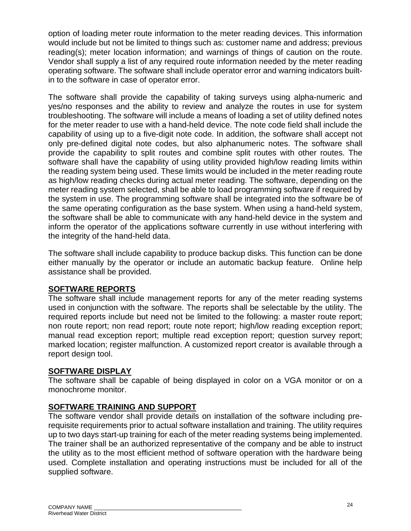option of loading meter route information to the meter reading devices. This information would include but not be limited to things such as: customer name and address; previous reading(s); meter location information; and warnings of things of caution on the route. Vendor shall supply a list of any required route information needed by the meter reading operating software. The software shall include operator error and warning indicators builtin to the software in case of operator error.

The software shall provide the capability of taking surveys using alpha-numeric and yes/no responses and the ability to review and analyze the routes in use for system troubleshooting. The software will include a means of loading a set of utility defined notes for the meter reader to use with a hand-held device. The note code field shall include the capability of using up to a five-digit note code. In addition, the software shall accept not only pre-defined digital note codes, but also alphanumeric notes. The software shall provide the capability to split routes and combine split routes with other routes. The software shall have the capability of using utility provided high/low reading limits within the reading system being used. These limits would be included in the meter reading route as high/low reading checks during actual meter reading. The software, depending on the meter reading system selected, shall be able to load programming software if required by the system in use. The programming software shall be integrated into the software be of the same operating configuration as the base system. When using a hand-held system, the software shall be able to communicate with any hand-held device in the system and inform the operator of the applications software currently in use without interfering with the integrity of the hand-held data.

The software shall include capability to produce backup disks. This function can be done either manually by the operator or include an automatic backup feature. Online help assistance shall be provided.

# **SOFTWARE REPORTS**

The software shall include management reports for any of the meter reading systems used in conjunction with the software. The reports shall be selectable by the utility. The required reports include but need not be limited to the following: a master route report; non route report; non read report; route note report; high/low reading exception report; manual read exception report; multiple read exception report; question survey report; marked location; register malfunction. A customized report creator is available through a report design tool.

# **SOFTWARE DISPLAY**

The software shall be capable of being displayed in color on a VGA monitor or on a monochrome monitor.

# **SOFTWARE TRAINING AND SUPPORT**

The software vendor shall provide details on installation of the software including prerequisite requirements prior to actual software installation and training. The utility requires up to two days start-up training for each of the meter reading systems being implemented. The trainer shall be an authorized representative of the company and be able to instruct the utility as to the most efficient method of software operation with the hardware being used. Complete installation and operating instructions must be included for all of the supplied software.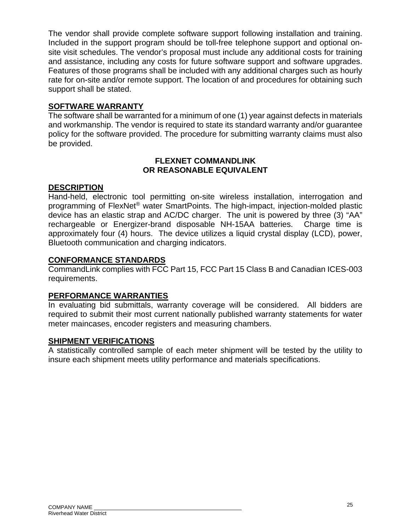The vendor shall provide complete software support following installation and training. Included in the support program should be toll-free telephone support and optional onsite visit schedules. The vendor's proposal must include any additional costs for training and assistance, including any costs for future software support and software upgrades. Features of those programs shall be included with any additional charges such as hourly rate for on-site and/or remote support. The location of and procedures for obtaining such support shall be stated.

# **SOFTWARE WARRANTY**

The software shall be warranted for a minimum of one (1) year against defects in materials and workmanship. The vendor is required to state its standard warranty and/or guarantee policy for the software provided. The procedure for submitting warranty claims must also be provided.

# **FLEXNET COMMANDLINK OR REASONABLE EQUIVALENT**

# **DESCRIPTION**

Hand-held, electronic tool permitting on-site wireless installation, interrogation and programming of FlexNet® water SmartPoints. The high-impact, injection-molded plastic device has an elastic strap and AC/DC charger. The unit is powered by three (3) "AA" rechargeable or Energizer-brand disposable NH-15AA batteries. Charge time is approximately four (4) hours. The device utilizes a liquid crystal display (LCD), power, Bluetooth communication and charging indicators.

# **CONFORMANCE STANDARDS**

CommandLink complies with FCC Part 15, FCC Part 15 Class B and Canadian ICES-003 requirements.

# **PERFORMANCE WARRANTIES**

In evaluating bid submittals, warranty coverage will be considered. All bidders are required to submit their most current nationally published warranty statements for water meter maincases, encoder registers and measuring chambers.

#### **SHIPMENT VERIFICATIONS**

A statistically controlled sample of each meter shipment will be tested by the utility to insure each shipment meets utility performance and materials specifications.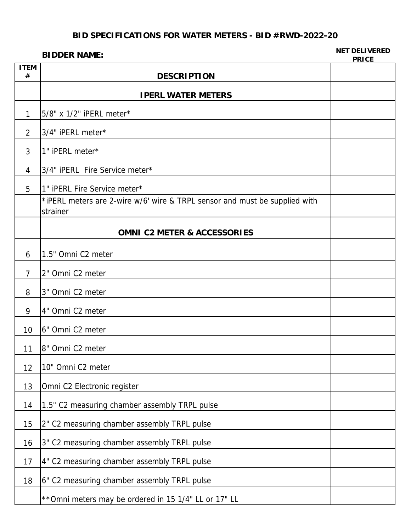#### **BIDDER NAME: NET DELIVERED PRICE**

| <b>ITEM</b><br># | <b>DESCRIPTION</b>                                                                     |  |
|------------------|----------------------------------------------------------------------------------------|--|
|                  | <b>IPERL WATER METERS</b>                                                              |  |
| 1                | 5/8" x 1/2" iPERL meter*                                                               |  |
| $\overline{2}$   | 3/4" iPERL meter*                                                                      |  |
| 3                | 1" iPERL meter*                                                                        |  |
| $\overline{4}$   | 3/4" iPERL Fire Service meter*                                                         |  |
| 5                | 1" iPERL Fire Service meter*                                                           |  |
|                  | *iPERL meters are 2-wire w/6' wire & TRPL sensor and must be supplied with<br>strainer |  |
|                  | <b>OMNI C2 METER &amp; ACCESSORIES</b>                                                 |  |
| 6                | 1.5" Omni C2 meter                                                                     |  |
| $\overline{7}$   | 2" Omni C2 meter                                                                       |  |
| 8                | 3" Omni C2 meter                                                                       |  |
| 9                | 4" Omni C2 meter                                                                       |  |
| 10               | 6" Omni C2 meter                                                                       |  |
| 11               | 8" Omni C2 meter                                                                       |  |
| 12               | 10" Omni C2 meter                                                                      |  |
| 13               | Omni C2 Electronic register                                                            |  |
| 14               | 1.5" C2 measuring chamber assembly TRPL pulse                                          |  |
| 15               | 2" C2 measuring chamber assembly TRPL pulse                                            |  |
| 16               | 3" C2 measuring chamber assembly TRPL pulse                                            |  |
| 17               | 4" C2 measuring chamber assembly TRPL pulse                                            |  |
| 18               | 6" C2 measuring chamber assembly TRPL pulse                                            |  |
|                  | ** Omni meters may be ordered in 15 1/4" LL or 17" LL                                  |  |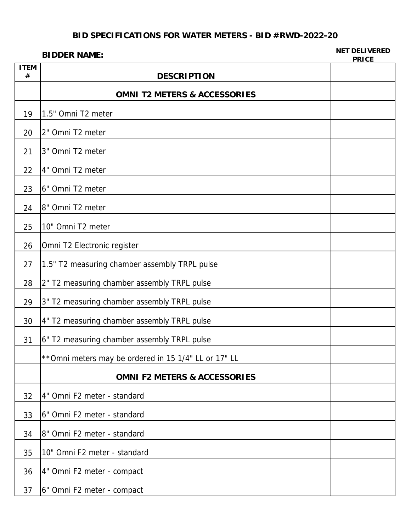#### **BIDDER NAME: NET DELIVERED PRICE**

| <b>ITEM</b><br># | <b>DESCRIPTION</b>                                    |  |
|------------------|-------------------------------------------------------|--|
|                  | <b>OMNI T2 METERS &amp; ACCESSORIES</b>               |  |
| 19               | 1.5" Omni T2 meter                                    |  |
| 20               | 2" Omni T2 meter                                      |  |
| 21               | 3" Omni T2 meter                                      |  |
| 22               | 4" Omni T2 meter                                      |  |
| 23               | 6" Omni T2 meter                                      |  |
| 24               | 8" Omni T2 meter                                      |  |
| 25               | 10" Omni T2 meter                                     |  |
| 26               | Omni T2 Electronic register                           |  |
| 27               | 1.5" T2 measuring chamber assembly TRPL pulse         |  |
| 28               | 2" T2 measuring chamber assembly TRPL pulse           |  |
| 29               | 3" T2 measuring chamber assembly TRPL pulse           |  |
| 30               | 4" T2 measuring chamber assembly TRPL pulse           |  |
| 31               | 6" T2 measuring chamber assembly TRPL pulse           |  |
|                  | ** Omni meters may be ordered in 15 1/4" LL or 17" LL |  |
|                  | <b>OMNI F2 METERS &amp; ACCESSORIES</b>               |  |
| 32               | 4" Omni F2 meter - standard                           |  |
| 33               | 6" Omni F2 meter - standard                           |  |
| 34               | 8" Omni F2 meter - standard                           |  |
| 35               | 10" Omni F2 meter - standard                          |  |
| 36               | 4" Omni F2 meter - compact                            |  |
| 37               | 6" Omni F2 meter - compact                            |  |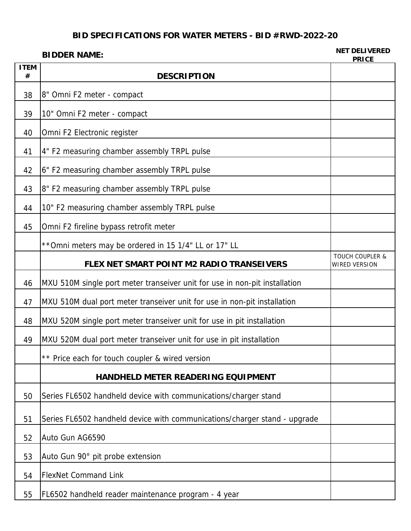#### **BIDDER NAME: NET DELIVERED PRICE**

| <b>ITEM</b><br># | <b>DESCRIPTION</b>                                                         | .                                                  |
|------------------|----------------------------------------------------------------------------|----------------------------------------------------|
| 38               | 8" Omni F2 meter - compact                                                 |                                                    |
| 39               | 10" Omni F2 meter - compact                                                |                                                    |
| 40               | Omni F2 Electronic register                                                |                                                    |
| 41               | 4" F2 measuring chamber assembly TRPL pulse                                |                                                    |
| 42               | 6" F2 measuring chamber assembly TRPL pulse                                |                                                    |
| 43               | 8" F2 measuring chamber assembly TRPL pulse                                |                                                    |
| 44               | 10" F2 measuring chamber assembly TRPL pulse                               |                                                    |
| 45               | Omni F2 fireline bypass retrofit meter                                     |                                                    |
|                  | ** Omni meters may be ordered in 15 1/4" LL or 17" LL                      |                                                    |
|                  | FLEX NET SMART POINT M2 RADIO TRANSEIVERS                                  | <b>TOUCH COUPLER &amp;</b><br><b>WIRED VERSION</b> |
| 46               | MXU 510M single port meter transeiver unit for use in non-pit installation |                                                    |
| 47               | MXU 510M dual port meter transeiver unit for use in non-pit installation   |                                                    |
| 48               | MXU 520M single port meter transeiver unit for use in pit installation     |                                                    |
| 49               | MXU 520M dual port meter transeiver unit for use in pit installation       |                                                    |
|                  | ** Price each for touch coupler & wired version                            |                                                    |
|                  | <b>HANDHELD METER READERING EQUIPMENT</b>                                  |                                                    |
| 50               | Series FL6502 handheld device with communications/charger stand            |                                                    |
| 51               | Series FL6502 handheld device with communications/charger stand - upgrade  |                                                    |
| 52               | Auto Gun AG6590                                                            |                                                    |
| 53               | Auto Gun 90° pit probe extension                                           |                                                    |
| 54               | <b>FlexNet Command Link</b>                                                |                                                    |
| 55               | FL6502 handheld reader maintenance program - 4 year                        |                                                    |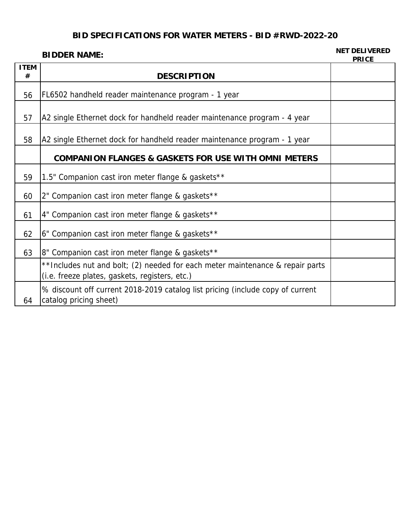#### **BIDDER NAME: NET DELIVERED PRICE**

| <b>ITEM</b> |                                                                                                                                 | FRIVE |
|-------------|---------------------------------------------------------------------------------------------------------------------------------|-------|
| #           | <b>DESCRIPTION</b>                                                                                                              |       |
| 56          | FL6502 handheld reader maintenance program - 1 year                                                                             |       |
| 57          | A2 single Ethernet dock for handheld reader maintenance program - 4 year                                                        |       |
| 58          | A2 single Ethernet dock for handheld reader maintenance program - 1 year                                                        |       |
|             | <b>COMPANION FLANGES &amp; GASKETS FOR USE WITH OMNI METERS</b>                                                                 |       |
| 59          | 1.5" Companion cast iron meter flange & gaskets**                                                                               |       |
| 60          | 2" Companion cast iron meter flange & gaskets**                                                                                 |       |
| 61          | 4" Companion cast iron meter flange & gaskets**                                                                                 |       |
| 62          | 6" Companion cast iron meter flange & gaskets**                                                                                 |       |
| 63          | 8" Companion cast iron meter flange & gaskets**                                                                                 |       |
|             | **Includes nut and bolt; (2) needed for each meter maintenance & repair parts<br>(i.e. freeze plates, gaskets, registers, etc.) |       |
| 64          | % discount off current 2018-2019 catalog list pricing (include copy of current<br>catalog pricing sheet)                        |       |